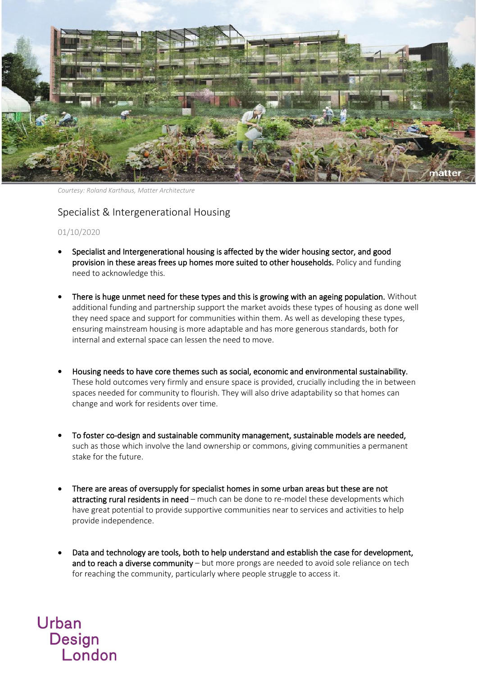

*Courtesy: Roland Karthaus, Matter Architecture*

## Specialist & Intergenerational Housing

01/10/2020

Urban

Design<br>London

- Specialist and Intergenerational housing is affected by the wider housing sector, and good provision in these areas frees up homes more suited to other households. Policy and funding need to acknowledge this.
- There is huge unmet need for these types and this is growing with an ageing population. Without additional funding and partnership support the market avoids these types of housing as done well they need space and support for communities within them. As well as developing these types, ensuring mainstream housing is more adaptable and has more generous standards, both for internal and external space can lessen the need to move.
- Housing needs to have core themes such as social, economic and environmental sustainability. These hold outcomes very firmly and ensure space is provided, crucially including the in between spaces needed for community to flourish. They will also drive adaptability so that homes can change and work for residents over time.
- To foster co-design and sustainable community management, sustainable models are needed, such as those which involve the land ownership or commons, giving communities a permanent stake for the future.
- There are areas of oversupply for specialist homes in some urban areas but these are not attracting rural residents in need – much can be done to re-model these developments which have great potential to provide supportive communities near to services and activities to help provide independence.
- Data and technology are tools, both to help understand and establish the case for development, and to reach a diverse community – but more prongs are needed to avoid sole reliance on tech for reaching the community, particularly where people struggle to access it.